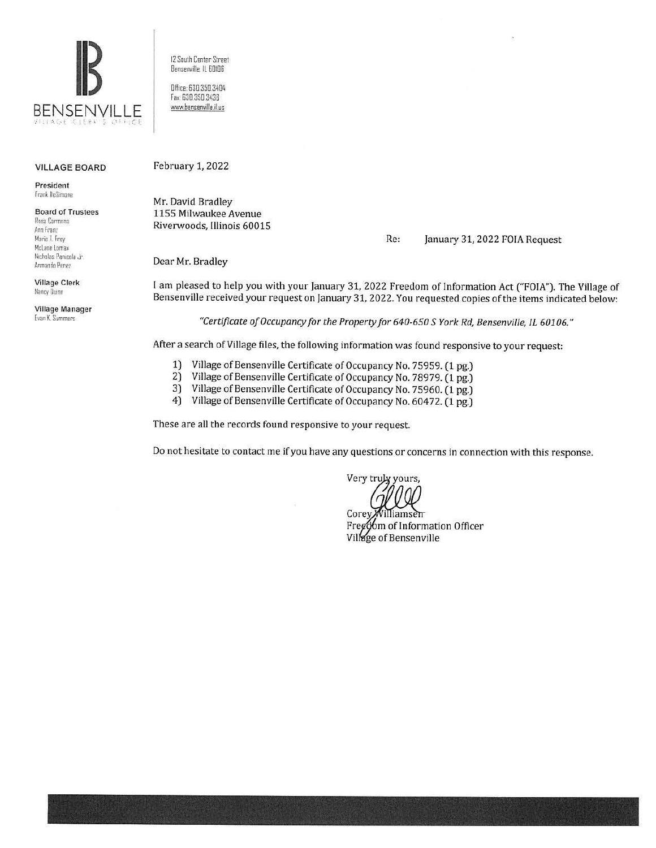

#### VILLAGE BOARD

President frank llcSimone

Board of Trustees Rosa Carmona Ann Franz

Marie I Frey McLane Lomax Nicholas Pamcola ,Ir Armando Perez

Village Clerk Nancy Ouinn

Village Manager Evan K, Summers

12 South Center Street Bensenville. It 60!06

Office 630.350.3404 Fax: 630.350.3438 www.bensenville.il.us

#### February 1, 2022

Mr. David Bradley 1155 Milwaukee Avenue Riverwoods, Illinois 60015

#### Re: January 31, 2022 FOIA Request

Dear Mr. Bradley

I am pleased to help you with your January 31, 2022 Freedom of Information Act ("FOIA"). The Village of Bensenville received your request on January 31, 2022. You requested copies of the items indicated below:

*"Certificate of Occupancy for the Property for 640-650 S York Rd, Bensenville, IL 60106."* 

After a search of Village files, the following information was found responsive to your request:

- 1) Village of Bensenville Certificate of Occupancy No. 75959. (1 pg.)
- 2) Village of Bensenville Certificate of Occupancy No. 78979. (1 pg.)
- 3) Village of Bensenville Certificate of Occupancy No. 75960. (1 pg.)
- 4) Village of Bensenville Certificate of Occupancy No. 60472. (1 pg.)

These are all the records found responsive to your request.

Do not hesitate to contact me if you have any questions or concerns in connection with this response.

Very truly yours,

Corey Villiamse<del>n</del> Free om of Information Officer Village of Bensenville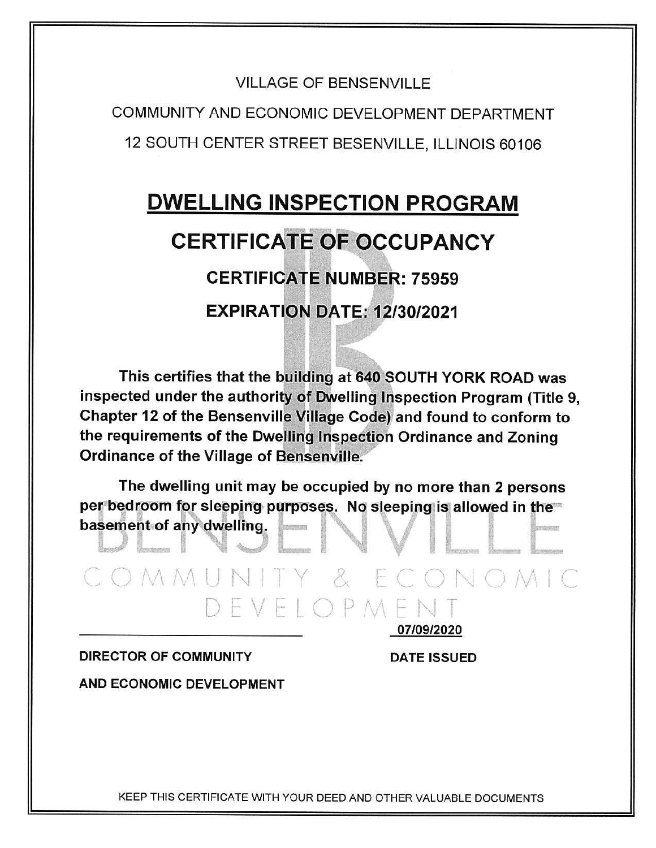COMMUNITY AND ECONOMIC DEVELOPMENT DEPARTMENT 12 SOUTH CENTER STREET BESENVILLE, ILLINOIS 60106

# DWELLING INSPECTION **PROGRAM CERTIFICATE OF OCCUPANCY CERTIFICATE NUMBER: 75959 EXPIRATION DATE: 12/30/2021**

This certifies that the building at 640 SOUTH YORK ROAD was inspected under the authority of Dwelling Inspection Program (Title 9, Chapter 12 of the Bensenville Village Code) and found to conform to the requirements of the Dwelling Inspection Ordinance and Zoning Ordinance of the Village of Bensenville.

The dwelling unit may be occupied by no more than 2 persons per bedroom for sleeping purposes. No sleeping is allowed in the $\equiv$ The dwelling unit may be occupied by no more than 2 persons<br>per bedroom for sleeping purposes. No sleeping is allowed in the<br>basement of any dwelling. basement of any dwelling.

COMMUNITY & ECONOMIC DEVELOPMEN 07/09/2020

### DIRECTOR OF COMMUNITY DATE ISSUED

AND ECONOMIC DEVELOPMENT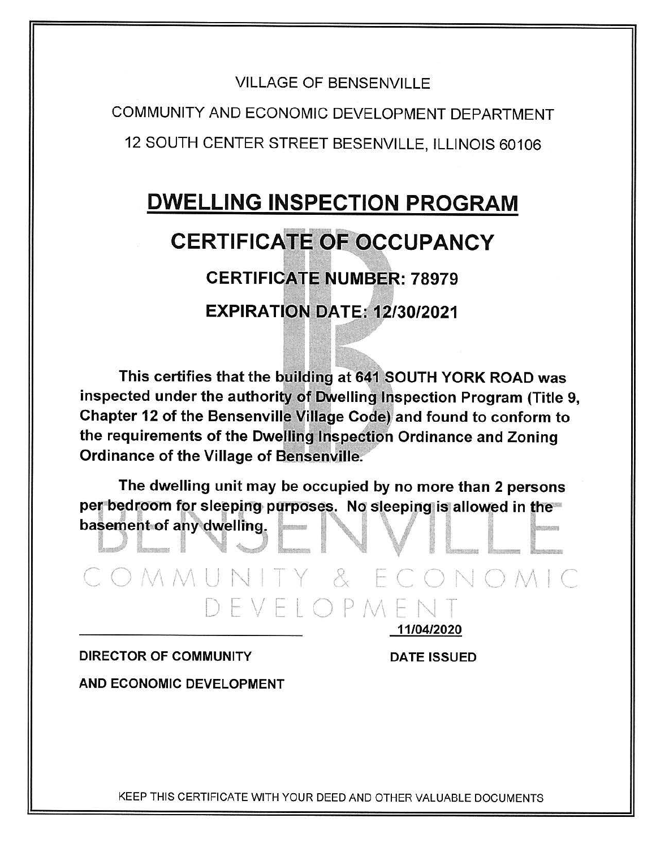COMMUNITY AND ECONOMIC DEVELOPMENT DEPARTMENT 12 SOUTH CENTER STREET BESENVILLE, ILLINOIS 60106

# **DWELLING INSPECTION PROGRAM CERTIFICATE OF OCCUPANCY CERTIFICATE NUMBER: 78979 EXPIRATION DATE: 12/30/2021**

This certifies that the building at 641 SOUTH YORK ROAD was inspected under the authority of Dwelling Inspection Program (Title 9, Chapter 12 of the Bensenville Village Code) and found to conform to the requirements of the Dwelling Inspection Ordinance and Zoning Ordinance of the Village of Bensenville.

The dwelling unit may be occupied by no more than 2 persons per bedroom for sleeping purposes. No sleeping is allowed in the basement of any dwelling.

COMMUNITY & ECONOMIC DEVELOPMEN 11/04/2020

**DIRECTOR OF COMMUNITY** 

**DATE ISSUED** 

AND ECONOMIC DEVELOPMENT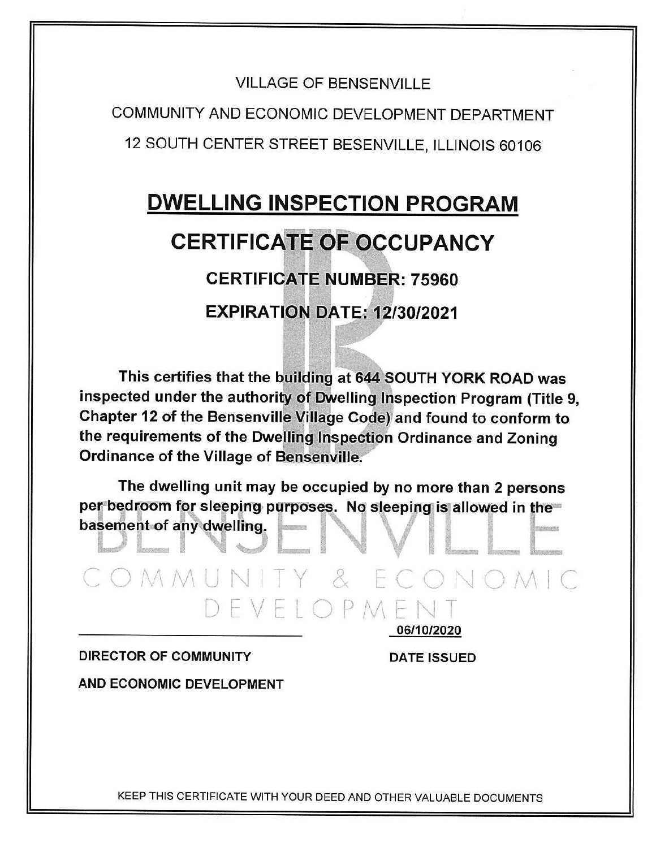COMMUNITY AND ECONOMIC DEVELOPMENT DEPARTMENT 12 SOUTH CENTER STREET BESENVILLE, ILLINOIS 60106

# **DWELLING INSPECTION PROGRAM CERTIFICATE OF OCCUPANCY CERTIFICATE NUMBER: 75960 EXPIRATION DATE: 12/30/2021**

This certifies that the building at 644 SOUTH YORK ROAD was inspected under the authority of Dwelling Inspection Program (Title 9, Chapter 12 of the Bensenville Village Code) and found to conform to the requirements of the Dwelling Inspection Ordinance and Zoning **Ordinance of the Village of Bensenville.** 

The dwelling unit may be occupied by no more than 2 persons per bedroom for sleeping purposes. No sleeping is allowed in the basement of any dwelling.

COMMUNITY & ECONOMIC DEVELOPMEN 06/10/2020

### **DIRECTOR OF COMMUNITY**

**DATE ISSUED** 

AND ECONOMIC DEVELOPMENT